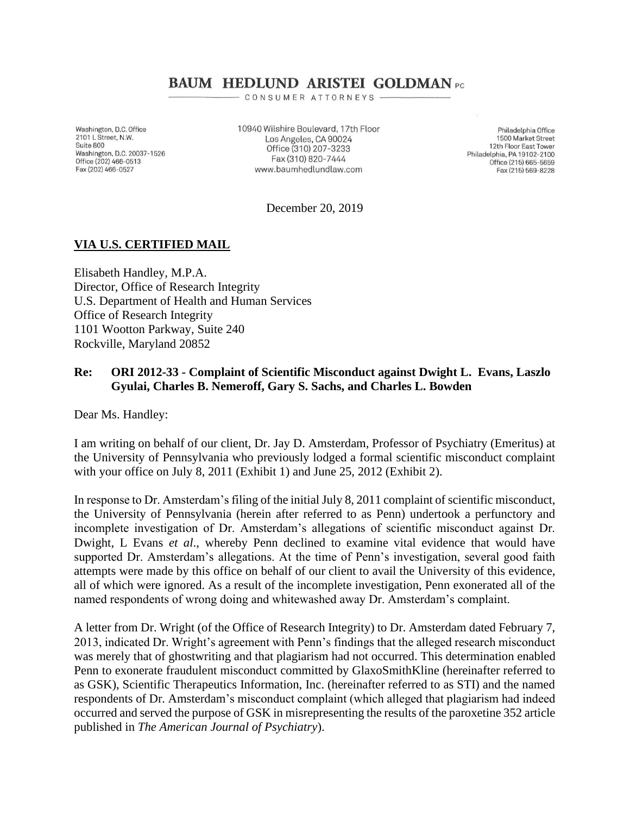# **BAUM HEDLUND ARISTEI GOLDMAN** PC

CONSUMER ATTORNEYS .

Washington, D.C. Office 2101 L Street, N.W. Suite 800 Washington, D.C. 20037-1526 Office (202) 466-0513 Fax (202) 466-0527

10940 Wilshire Boulevard, 17th Floor Los Angeles, CA 90024 Office (310) 207-3233 Fax (310) 820-7444 www.baumhedlundlaw.com

Philadelphia Office 1500 Market Street 12th Floor East Tower Philadelphia, PA 19102-2100 Office (215) 665-5659 Fax (215) 569-8228

December 20, 2019

## **VIA U.S. CERTIFIED MAIL**

Elisabeth Handley, M.P.A. Director, Office of Research Integrity U.S. Department of Health and Human Services Office of Research Integrity 1101 Wootton Parkway, Suite 240 Rockville, Maryland 20852

### **Re: ORI 2012-33 - Complaint of Scientific Misconduct against Dwight L. Evans, Laszlo Gyulai, Charles B. Nemeroff, Gary S. Sachs, and Charles L. Bowden**

Dear Ms. Handley:

I am writing on behalf of our client, Dr. Jay D. Amsterdam, Professor of Psychiatry (Emeritus) at the University of Pennsylvania who previously lodged a formal scientific misconduct complaint with your office on July 8, 2011 (Exhibit 1) and June 25, 2012 (Exhibit 2).

In response to Dr. Amsterdam's filing of the initial July 8, 2011 complaint of scientific misconduct, the University of Pennsylvania (herein after referred to as Penn) undertook a perfunctory and incomplete investigation of Dr. Amsterdam's allegations of scientific misconduct against Dr. Dwight, L Evans *et al*., whereby Penn declined to examine vital evidence that would have supported Dr. Amsterdam's allegations. At the time of Penn's investigation, several good faith attempts were made by this office on behalf of our client to avail the University of this evidence, all of which were ignored. As a result of the incomplete investigation, Penn exonerated all of the named respondents of wrong doing and whitewashed away Dr. Amsterdam's complaint.

A letter from Dr. Wright (of the Office of Research Integrity) to Dr. Amsterdam dated February 7, 2013, indicated Dr. Wright's agreement with Penn's findings that the alleged research misconduct was merely that of ghostwriting and that plagiarism had not occurred. This determination enabled Penn to exonerate fraudulent misconduct committed by GlaxoSmithKline (hereinafter referred to as GSK), Scientific Therapeutics Information, Inc. (hereinafter referred to as STI) and the named respondents of Dr. Amsterdam's misconduct complaint (which alleged that plagiarism had indeed occurred and served the purpose of GSK in misrepresenting the results of the paroxetine 352 article published in *The American Journal of Psychiatry*).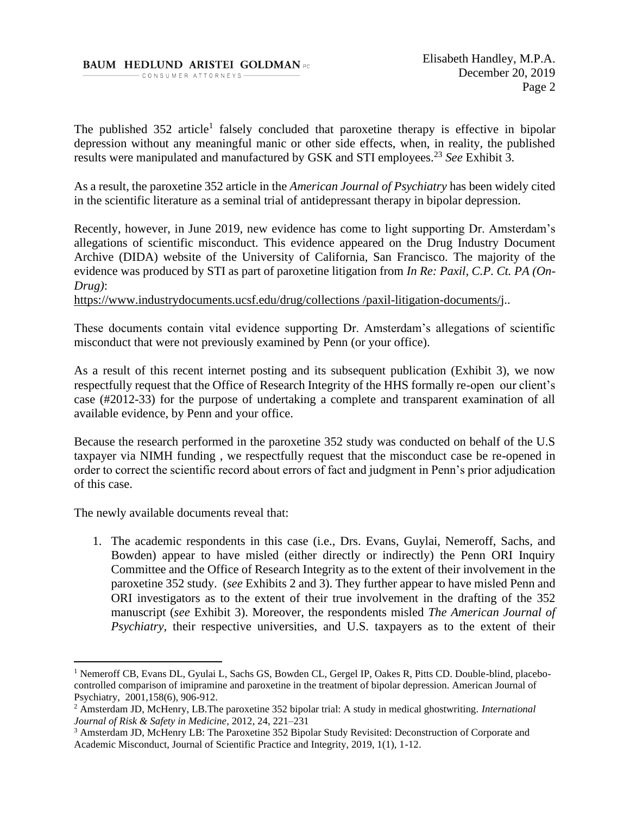#### **BAUM HEDLUND ARISTEI GOLDMAN PC** - CONSUMER ATTORNEYS-

The published 352 article<sup>1</sup> falsely concluded that paroxetine therapy is effective in bipolar depression without any meaningful manic or other side effects, when, in reality, the published results were manipulated and manufactured by GSK and STI employees.<sup>23</sup> *See* Exhibit 3.

As a result, the paroxetine 352 article in the *American Journal of Psychiatry* has been widely cited in the scientific literature as a seminal trial of antidepressant therapy in bipolar depression.

Recently, however, in June 2019, new evidence has come to light supporting Dr. Amsterdam's allegations of scientific misconduct. This evidence appeared on the Drug Industry Document Archive (DIDA) website of the University of California, San Francisco. The majority of the evidence was produced by STI as part of paroxetine litigation from *In Re: Paxil, C.P. Ct. PA (On-Drug)*:

https://www.industrydocuments.ucsf.edu/drug/collections /paxil-litigation-documents/j..

These documents contain vital evidence supporting Dr. Amsterdam's allegations of scientific misconduct that were not previously examined by Penn (or your office).

As a result of this recent internet posting and its subsequent publication (Exhibit 3), we now respectfully request that the Office of Research Integrity of the HHS formally re-open our client's case (#2012-33) for the purpose of undertaking a complete and transparent examination of all available evidence, by Penn and your office.

Because the research performed in the paroxetine 352 study was conducted on behalf of the U.S taxpayer via NIMH funding , we respectfully request that the misconduct case be re-opened in order to correct the scientific record about errors of fact and judgment in Penn's prior adjudication of this case.

The newly available documents reveal that:

1. The academic respondents in this case (i.e., Drs. Evans, Guylai, Nemeroff, Sachs, and Bowden) appear to have misled (either directly or indirectly) the Penn ORI Inquiry Committee and the Office of Research Integrity as to the extent of their involvement in the paroxetine 352 study. (*see* Exhibits 2 and 3). They further appear to have misled Penn and ORI investigators as to the extent of their true involvement in the drafting of the 352 manuscript (*see* Exhibit 3). Moreover, the respondents misled *The American Journal of Psychiatry,* their respective universities, and U.S. taxpayers as to the extent of their

<sup>1</sup> Nemeroff CB, Evans DL, Gyulai L, Sachs GS, Bowden CL, Gergel IP, Oakes R, Pitts CD. Double-blind, placebocontrolled comparison of imipramine and paroxetine in the treatment of bipolar depression. American Journal of Psychiatry, 2001,158(6), 906-912.

<sup>2</sup> Amsterdam JD, McHenry, LB.The paroxetine 352 bipolar trial: A study in medical ghostwriting. *International Journal of Risk & Safety in Medicine*, 2012, 24, 221–231

<sup>&</sup>lt;sup>3</sup> Amsterdam JD, McHenry LB: The Paroxetine 352 Bipolar Study Revisited: Deconstruction of Corporate and Academic Misconduct, Journal of Scientific Practice and Integrity, 2019, 1(1), 1-12.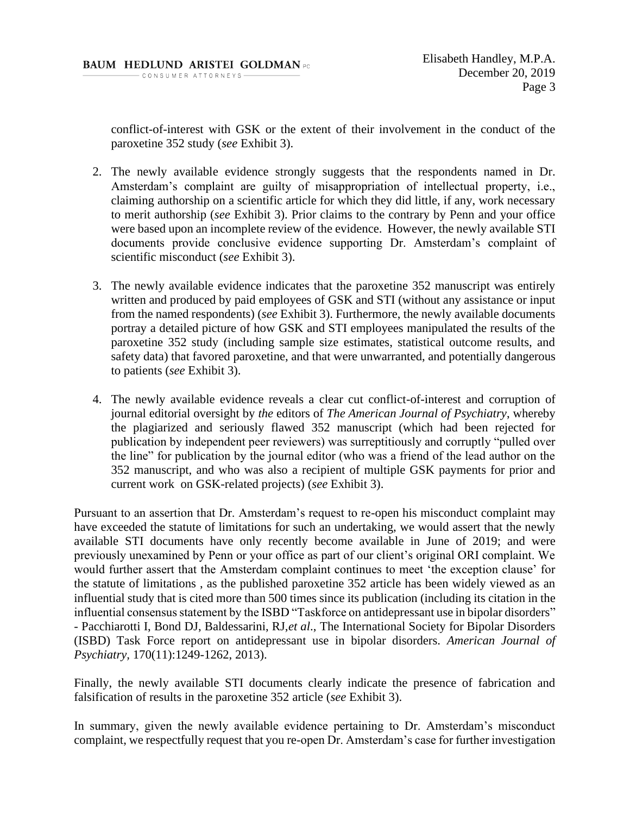conflict-of-interest with GSK or the extent of their involvement in the conduct of the paroxetine 352 study (*see* Exhibit 3).

- 2. The newly available evidence strongly suggests that the respondents named in Dr. Amsterdam's complaint are guilty of misappropriation of intellectual property, i.e., claiming authorship on a scientific article for which they did little, if any, work necessary to merit authorship (*see* Exhibit 3). Prior claims to the contrary by Penn and your office were based upon an incomplete review of the evidence. However, the newly available STI documents provide conclusive evidence supporting Dr. Amsterdam's complaint of scientific misconduct (*see* Exhibit 3).
- 3. The newly available evidence indicates that the paroxetine 352 manuscript was entirely written and produced by paid employees of GSK and STI (without any assistance or input from the named respondents) (*see* Exhibit 3). Furthermore, the newly available documents portray a detailed picture of how GSK and STI employees manipulated the results of the paroxetine 352 study (including sample size estimates, statistical outcome results, and safety data) that favored paroxetine, and that were unwarranted, and potentially dangerous to patients (*see* Exhibit 3).
- 4. The newly available evidence reveals a clear cut conflict-of-interest and corruption of journal editorial oversight by *the* editors of *The American Journal of Psychiatry*, whereby the plagiarized and seriously flawed 352 manuscript (which had been rejected for publication by independent peer reviewers) was surreptitiously and corruptly "pulled over the line" for publication by the journal editor (who was a friend of the lead author on the 352 manuscript, and who was also a recipient of multiple GSK payments for prior and current work on GSK-related projects) (*see* Exhibit 3).

Pursuant to an assertion that Dr. Amsterdam's request to re-open his misconduct complaint may have exceeded the statute of limitations for such an undertaking, we would assert that the newly available STI documents have only recently become available in June of 2019; and were previously unexamined by Penn or your office as part of our client's original ORI complaint. We would further assert that the Amsterdam complaint continues to meet 'the exception clause' for the statute of limitations , as the published paroxetine 352 article has been widely viewed as an influential study that is cited more than 500 times since its publication (including its citation in the influential consensus statement by the ISBD "Taskforce on antidepressant use in bipolar disorders" - Pacchiarotti I, Bond DJ, Baldessarini, RJ,*et al*., The International Society for Bipolar Disorders (ISBD) Task Force report on antidepressant use in bipolar disorders. *American Journal of Psychiatry,* 170(11):1249-1262, 2013).

Finally, the newly available STI documents clearly indicate the presence of fabrication and falsification of results in the paroxetine 352 article (*see* Exhibit 3).

In summary, given the newly available evidence pertaining to Dr. Amsterdam's misconduct complaint, we respectfully request that you re-open Dr. Amsterdam's case for further investigation